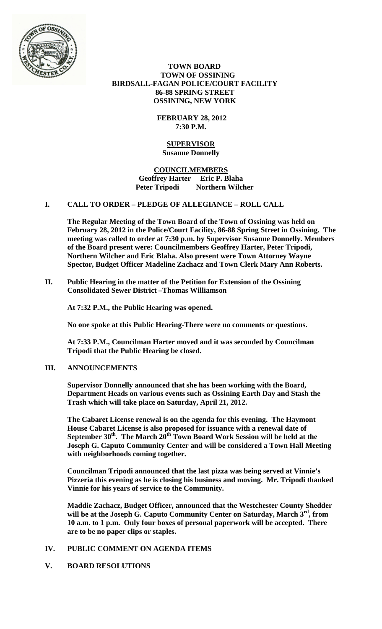

 **TOWN BOARD TOWN OF OSSINING BIRDSALL-FAGAN POLICE/COURT FACILITY 86-88 SPRING STREET OSSINING, NEW YORK**

> **FEBRUARY 28, 2012 7:30 P.M.**

#### **SUPERVISOR Susanne Donnelly**

#### **COUNCILMEMBERS Geoffrey Harter Eric P. Blaha Peter Tripodi Northern Wilcher**

# **I. CALL TO ORDER – PLEDGE OF ALLEGIANCE – ROLL CALL**

**The Regular Meeting of the Town Board of the Town of Ossining was held on February 28, 2012 in the Police/Court Facility, 86-88 Spring Street in Ossining. The meeting was called to order at 7:30 p.m. by Supervisor Susanne Donnelly. Members of the Board present were: Councilmembers Geoffrey Harter, Peter Tripodi, Northern Wilcher and Eric Blaha. Also present were Town Attorney Wayne Spector, Budget Officer Madeline Zachacz and Town Clerk Mary Ann Roberts.**

**II. Public Hearing in the matter of the Petition for Extension of the Ossining Consolidated Sewer District –Thomas Williamson**

**At 7:32 P.M., the Public Hearing was opened.**

**No one spoke at this Public Hearing-There were no comments or questions.**

**At 7:33 P.M., Councilman Harter moved and it was seconded by Councilman Tripodi that the Public Hearing be closed.**

# **III. ANNOUNCEMENTS**

**Supervisor Donnelly announced that she has been working with the Board, Department Heads on various events such as Ossining Earth Day and Stash the Trash which will take place on Saturday, April 21, 2012.**

**The Cabaret License renewal is on the agenda for this evening. The Haymont House Cabaret License is also proposed for issuance with a renewal date of**  September 30<sup>th</sup>. The March 20<sup>th</sup> Town Board Work Session will be held at the **Joseph G. Caputo Community Center and will be considered a Town Hall Meeting with neighborhoods coming together.** 

**Councilman Tripodi announced that the last pizza was being served at Vinnie's Pizzeria this evening as he is closing his business and moving. Mr. Tripodi thanked Vinnie for his years of service to the Community.**

**Maddie Zachacz, Budget Officer, announced that the Westchester County Shedder will be at the Joseph G. Caputo Community Center on Saturday, March 3rd, from 10 a.m. to 1 p.m. Only four boxes of personal paperwork will be accepted. There are to be no paper clips or staples.**

#### **IV. PUBLIC COMMENT ON AGENDA ITEMS**

#### **V. BOARD RESOLUTIONS**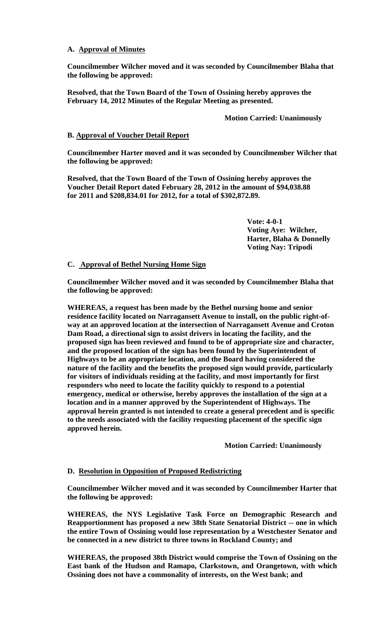### **A. Approval of Minutes**

**Councilmember Wilcher moved and it was seconded by Councilmember Blaha that the following be approved:**

**Resolved, that the Town Board of the Town of Ossining hereby approves the February 14, 2012 Minutes of the Regular Meeting as presented.**

### **Motion Carried: Unanimously**

#### **B. Approval of Voucher Detail Report**

**Councilmember Harter moved and it was seconded by Councilmember Wilcher that the following be approved:**

**Resolved, that the Town Board of the Town of Ossining hereby approves the Voucher Detail Report dated February 28, 2012 in the amount of \$94,038.88 for 2011 and \$208,834.01 for 2012, for a total of \$302,872.89.**

> **Vote: 4-0-1 Voting Aye: Wilcher, Harter, Blaha & Donnelly Voting Nay: Tripodi**

# **C. Approval of Bethel Nursing Home Sign**

**Councilmember Wilcher moved and it was seconded by Councilmember Blaha that the following be approved:**

**WHEREAS, a request has been made by the Bethel nursing home and senior residence facility located on Narragansett Avenue to install, on the public right-ofway at an approved location at the intersection of Narragansett Avenue and Croton Dam Road, a directional sign to assist drivers in locating the facility, and the proposed sign has been reviewed and found to be of appropriate size and character, and the proposed location of the sign has been found by the Superintendent of Highways to be an appropriate location, and the Board having considered the nature of the facility and the benefits the proposed sign would provide, particularly for visitors of individuals residing at the facility, and most importantly for first responders who need to locate the facility quickly to respond to a potential emergency, medical or otherwise, hereby approves the installation of the sign at a location and in a manner approved by the Superintendent of Highways. The approval herein granted is not intended to create a general precedent and is specific to the needs associated with the facility requesting placement of the specific sign approved herein.**

**Motion Carried: Unanimously**

#### **D. Resolution in Opposition of Proposed Redistricting**

**Councilmember Wilcher moved and it was seconded by Councilmember Harter that the following be approved:**

**WHEREAS, the NYS Legislative Task Force on Demographic Research and Reapportionment has proposed a new 38th State Senatorial District -- one in which the entire Town of Ossining would lose representation by a Westchester Senator and be connected in a new district to three towns in Rockland County; and** 

**WHEREAS, the proposed 38th District would comprise the Town of Ossining on the East bank of the Hudson and Ramapo, Clarkstown, and Orangetown, with which Ossining does not have a commonality of interests, on the West bank; and**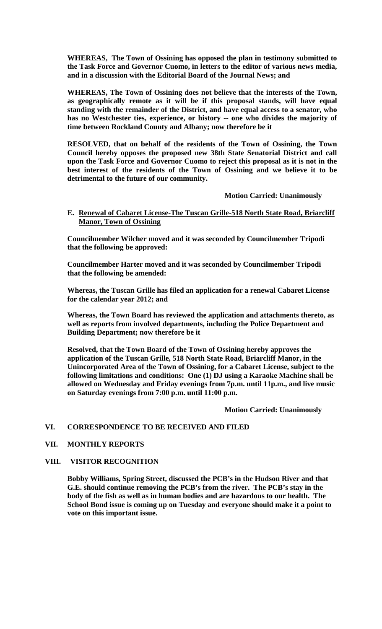**WHEREAS, The Town of Ossining has opposed the plan in testimony submitted to the Task Force and Governor Cuomo, in letters to the editor of various news media, and in a discussion with the Editorial Board of the Journal News; and** 

**WHEREAS, The Town of Ossining does not believe that the interests of the Town, as geographically remote as it will be if this proposal stands, will have equal standing with the remainder of the District, and have equal access to a senator, who has no Westchester ties, experience, or history -- one who divides the majority of time between Rockland County and Albany; now therefore be it** 

**RESOLVED, that on behalf of the residents of the Town of Ossining, the Town Council hereby opposes the proposed new 38th State Senatorial District and call upon the Task Force and Governor Cuomo to reject this proposal as it is not in the best interest of the residents of the Town of Ossining and we believe it to be detrimental to the future of our community.** 

**Motion Carried: Unanimously**

# **E. Renewal of Cabaret License-The Tuscan Grille-518 North State Road, Briarcliff Manor, Town of Ossining**

**Councilmember Wilcher moved and it was seconded by Councilmember Tripodi that the following be approved:**

**Councilmember Harter moved and it was seconded by Councilmember Tripodi that the following be amended:**

**Whereas, the Tuscan Grille has filed an application for a renewal Cabaret License for the calendar year 2012; and**

**Whereas, the Town Board has reviewed the application and attachments thereto, as well as reports from involved departments, including the Police Department and Building Department; now therefore be it**

**Resolved, that the Town Board of the Town of Ossining hereby approves the application of the Tuscan Grille, 518 North State Road, Briarcliff Manor, in the Unincorporated Area of the Town of Ossining, for a Cabaret License, subject to the following limitations and conditions: One (1) DJ using a Karaoke Machine shall be allowed on Wednesday and Friday evenings from 7p.m. until 11p.m., and live music on Saturday evenings from 7:00 p.m. until 11:00 p.m.**

**Motion Carried: Unanimously**

#### **VI. CORRESPONDENCE TO BE RECEIVED AND FILED**

#### **VII. MONTHLY REPORTS**

#### **VIII. VISITOR RECOGNITION**

**Bobby Williams, Spring Street, discussed the PCB's in the Hudson River and that G.E. should continue removing the PCB's from the river. The PCB's stay in the body of the fish as well as in human bodies and are hazardous to our health. The School Bond issue is coming up on Tuesday and everyone should make it a point to vote on this important issue.**